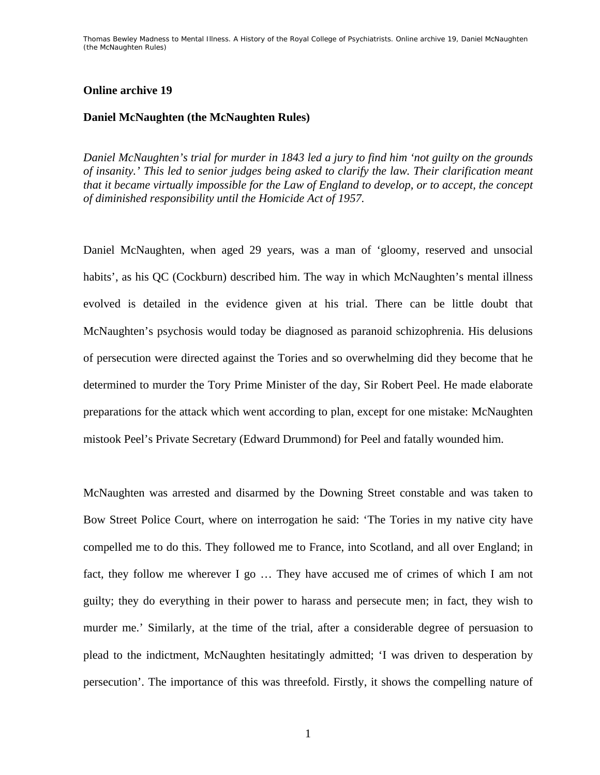## **Online archive 19**

## **Daniel McNaughten (the McNaughten Rules)**

*Daniel McNaughten's trial for murder in 1843 led a jury to find him 'not guilty on the grounds of insanity.' This led to senior judges being asked to clarify the law. Their clarification meant that it became virtually impossible for the Law of England to develop, or to accept, the concept of diminished responsibility until the Homicide Act of 1957.* 

Daniel McNaughten, when aged 29 years, was a man of 'gloomy, reserved and unsocial habits', as his QC (Cockburn) described him. The way in which McNaughten's mental illness evolved is detailed in the evidence given at his trial. There can be little doubt that McNaughten's psychosis would today be diagnosed as paranoid schizophrenia. His delusions of persecution were directed against the Tories and so overwhelming did they become that he determined to murder the Tory Prime Minister of the day, Sir Robert Peel. He made elaborate preparations for the attack which went according to plan, except for one mistake: McNaughten mistook Peel's Private Secretary (Edward Drummond) for Peel and fatally wounded him.

McNaughten was arrested and disarmed by the Downing Street constable and was taken to Bow Street Police Court, where on interrogation he said: 'The Tories in my native city have compelled me to do this. They followed me to France, into Scotland, and all over England; in fact, they follow me wherever I go … They have accused me of crimes of which I am not guilty; they do everything in their power to harass and persecute men; in fact, they wish to murder me.' Similarly, at the time of the trial, after a considerable degree of persuasion to plead to the indictment, McNaughten hesitatingly admitted; 'I was driven to desperation by persecution'. The importance of this was threefold. Firstly, it shows the compelling nature of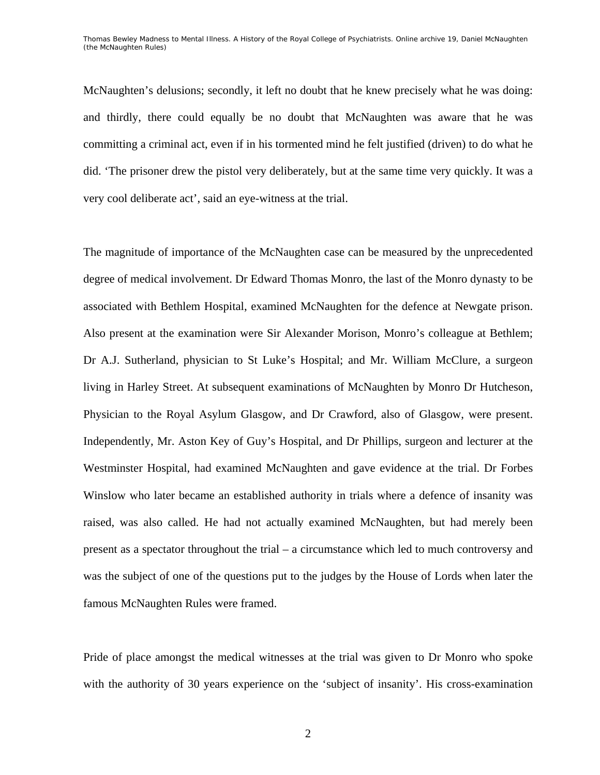McNaughten's delusions; secondly, it left no doubt that he knew precisely what he was doing: and thirdly, there could equally be no doubt that McNaughten was aware that he was committing a criminal act, even if in his tormented mind he felt justified (driven) to do what he did. 'The prisoner drew the pistol very deliberately, but at the same time very quickly. It was a very cool deliberate act', said an eye-witness at the trial.

The magnitude of importance of the McNaughten case can be measured by the unprecedented degree of medical involvement. Dr Edward Thomas Monro, the last of the Monro dynasty to be associated with Bethlem Hospital, examined McNaughten for the defence at Newgate prison. Also present at the examination were Sir Alexander Morison, Monro's colleague at Bethlem; Dr A.J. Sutherland, physician to St Luke's Hospital; and Mr. William McClure, a surgeon living in Harley Street. At subsequent examinations of McNaughten by Monro Dr Hutcheson, Physician to the Royal Asylum Glasgow, and Dr Crawford, also of Glasgow, were present. Independently, Mr. Aston Key of Guy's Hospital, and Dr Phillips, surgeon and lecturer at the Westminster Hospital, had examined McNaughten and gave evidence at the trial. Dr Forbes Winslow who later became an established authority in trials where a defence of insanity was raised, was also called. He had not actually examined McNaughten, but had merely been present as a spectator throughout the trial – a circumstance which led to much controversy and was the subject of one of the questions put to the judges by the House of Lords when later the famous McNaughten Rules were framed.

Pride of place amongst the medical witnesses at the trial was given to Dr Monro who spoke with the authority of 30 years experience on the 'subject of insanity'. His cross-examination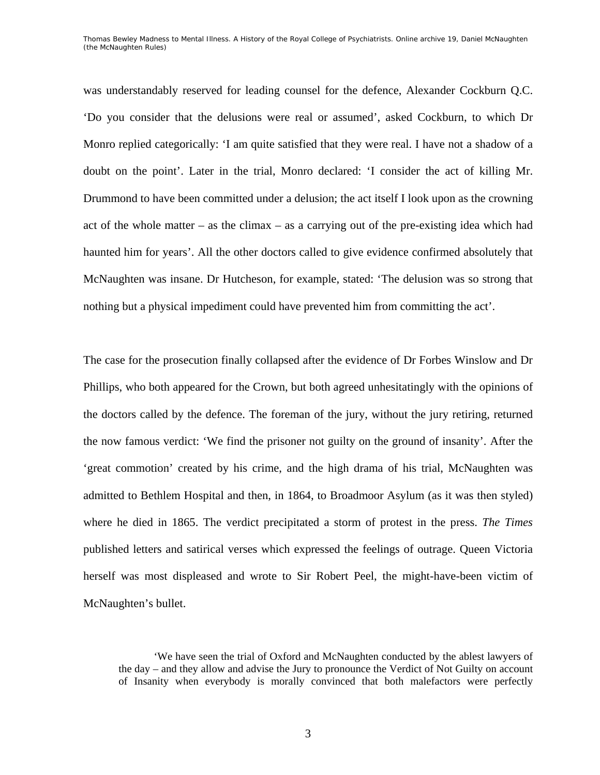was understandably reserved for leading counsel for the defence, Alexander Cockburn Q.C. 'Do you consider that the delusions were real or assumed', asked Cockburn, to which Dr Monro replied categorically: 'I am quite satisfied that they were real. I have not a shadow of a doubt on the point'. Later in the trial, Monro declared: 'I consider the act of killing Mr. Drummond to have been committed under a delusion; the act itself I look upon as the crowning act of the whole matter – as the climax – as a carrying out of the pre-existing idea which had haunted him for years'. All the other doctors called to give evidence confirmed absolutely that McNaughten was insane. Dr Hutcheson, for example, stated: 'The delusion was so strong that nothing but a physical impediment could have prevented him from committing the act'.

The case for the prosecution finally collapsed after the evidence of Dr Forbes Winslow and Dr Phillips, who both appeared for the Crown, but both agreed unhesitatingly with the opinions of the doctors called by the defence. The foreman of the jury, without the jury retiring, returned the now famous verdict: 'We find the prisoner not guilty on the ground of insanity'. After the 'great commotion' created by his crime, and the high drama of his trial, McNaughten was admitted to Bethlem Hospital and then, in 1864, to Broadmoor Asylum (as it was then styled) where he died in 1865. The verdict precipitated a storm of protest in the press. *The Times* published letters and satirical verses which expressed the feelings of outrage. Queen Victoria herself was most displeased and wrote to Sir Robert Peel, the might-have-been victim of McNaughten's bullet.

<sup>&#</sup>x27;We have seen the trial of Oxford and McNaughten conducted by the ablest lawyers of the day – and they allow and advise the Jury to pronounce the Verdict of Not Guilty on account of Insanity when everybody is morally convinced that both malefactors were perfectly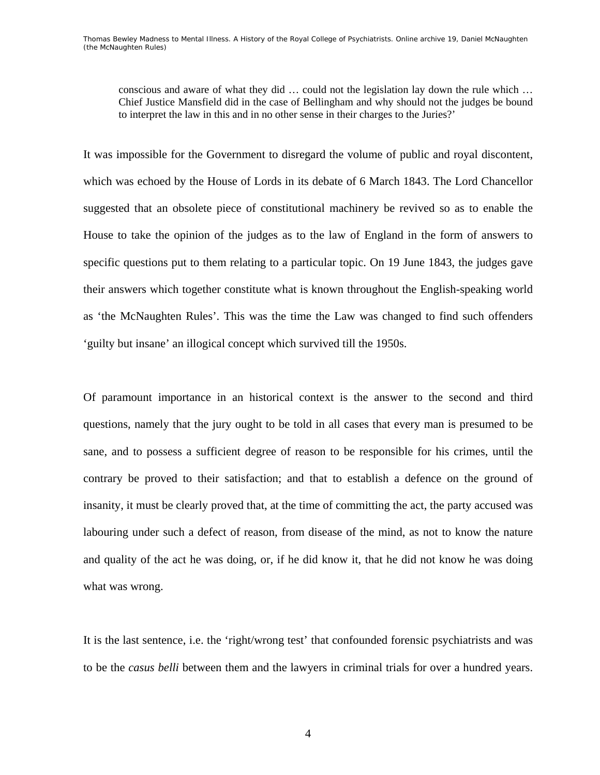conscious and aware of what they did … could not the legislation lay down the rule which … Chief Justice Mansfield did in the case of Bellingham and why should not the judges be bound to interpret the law in this and in no other sense in their charges to the Juries?'

It was impossible for the Government to disregard the volume of public and royal discontent, which was echoed by the House of Lords in its debate of 6 March 1843. The Lord Chancellor suggested that an obsolete piece of constitutional machinery be revived so as to enable the House to take the opinion of the judges as to the law of England in the form of answers to specific questions put to them relating to a particular topic. On 19 June 1843, the judges gave their answers which together constitute what is known throughout the English-speaking world as 'the McNaughten Rules'. This was the time the Law was changed to find such offenders 'guilty but insane' an illogical concept which survived till the 1950s.

Of paramount importance in an historical context is the answer to the second and third questions, namely that the jury ought to be told in all cases that every man is presumed to be sane, and to possess a sufficient degree of reason to be responsible for his crimes, until the contrary be proved to their satisfaction; and that to establish a defence on the ground of insanity, it must be clearly proved that, at the time of committing the act, the party accused was labouring under such a defect of reason, from disease of the mind, as not to know the nature and quality of the act he was doing, or, if he did know it, that he did not know he was doing what was wrong.

It is the last sentence, i.e. the 'right/wrong test' that confounded forensic psychiatrists and was to be the *casus belli* between them and the lawyers in criminal trials for over a hundred years.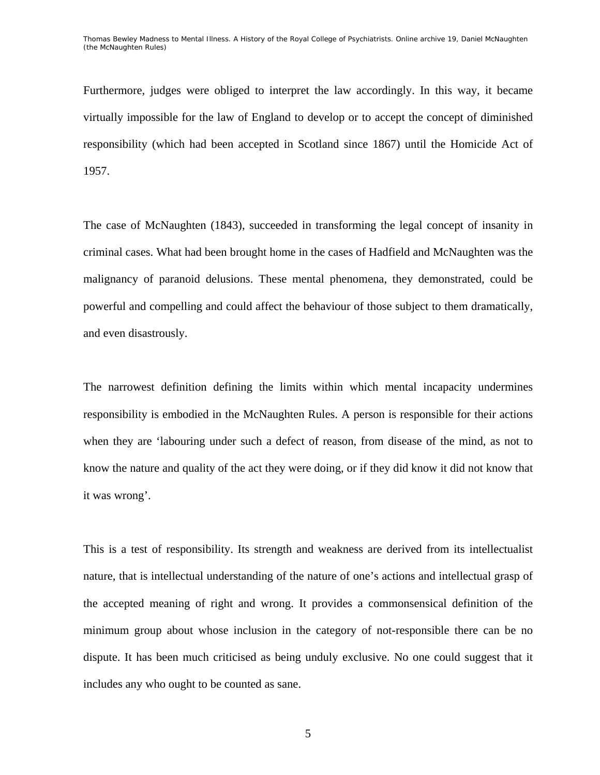Furthermore, judges were obliged to interpret the law accordingly. In this way, it became virtually impossible for the law of England to develop or to accept the concept of diminished responsibility (which had been accepted in Scotland since 1867) until the Homicide Act of 1957.

The case of McNaughten (1843), succeeded in transforming the legal concept of insanity in criminal cases. What had been brought home in the cases of Hadfield and McNaughten was the malignancy of paranoid delusions. These mental phenomena, they demonstrated, could be powerful and compelling and could affect the behaviour of those subject to them dramatically, and even disastrously.

The narrowest definition defining the limits within which mental incapacity undermines responsibility is embodied in the McNaughten Rules. A person is responsible for their actions when they are 'labouring under such a defect of reason, from disease of the mind, as not to know the nature and quality of the act they were doing, or if they did know it did not know that it was wrong'.

This is a test of responsibility. Its strength and weakness are derived from its intellectualist nature, that is intellectual understanding of the nature of one's actions and intellectual grasp of the accepted meaning of right and wrong. It provides a commonsensical definition of the minimum group about whose inclusion in the category of not-responsible there can be no dispute. It has been much criticised as being unduly exclusive. No one could suggest that it includes any who ought to be counted as sane.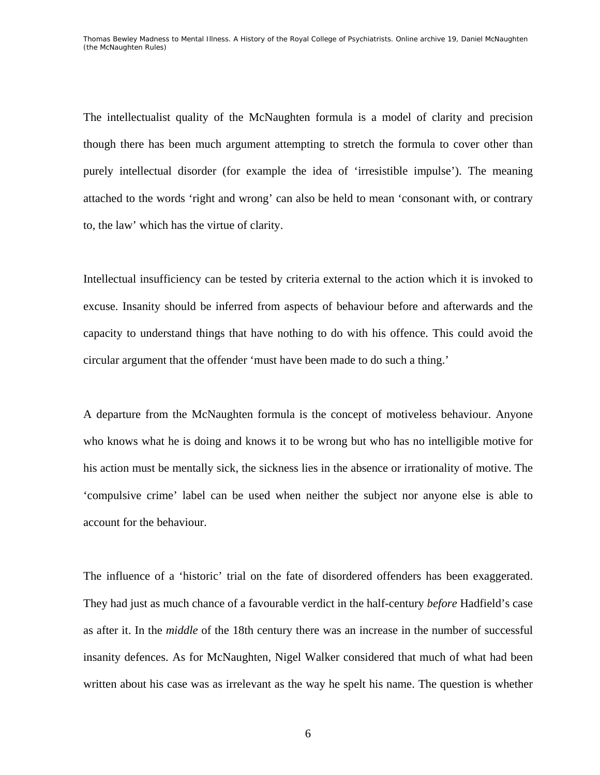The intellectualist quality of the McNaughten formula is a model of clarity and precision though there has been much argument attempting to stretch the formula to cover other than purely intellectual disorder (for example the idea of 'irresistible impulse'). The meaning attached to the words 'right and wrong' can also be held to mean 'consonant with, or contrary to, the law' which has the virtue of clarity.

Intellectual insufficiency can be tested by criteria external to the action which it is invoked to excuse. Insanity should be inferred from aspects of behaviour before and afterwards and the capacity to understand things that have nothing to do with his offence. This could avoid the circular argument that the offender 'must have been made to do such a thing.'

A departure from the McNaughten formula is the concept of motiveless behaviour. Anyone who knows what he is doing and knows it to be wrong but who has no intelligible motive for his action must be mentally sick, the sickness lies in the absence or irrationality of motive. The 'compulsive crime' label can be used when neither the subject nor anyone else is able to account for the behaviour.

The influence of a 'historic' trial on the fate of disordered offenders has been exaggerated. They had just as much chance of a favourable verdict in the half-century *before* Hadfield's case as after it. In the *middle* of the 18th century there was an increase in the number of successful insanity defences. As for McNaughten, Nigel Walker considered that much of what had been written about his case was as irrelevant as the way he spelt his name. The question is whether